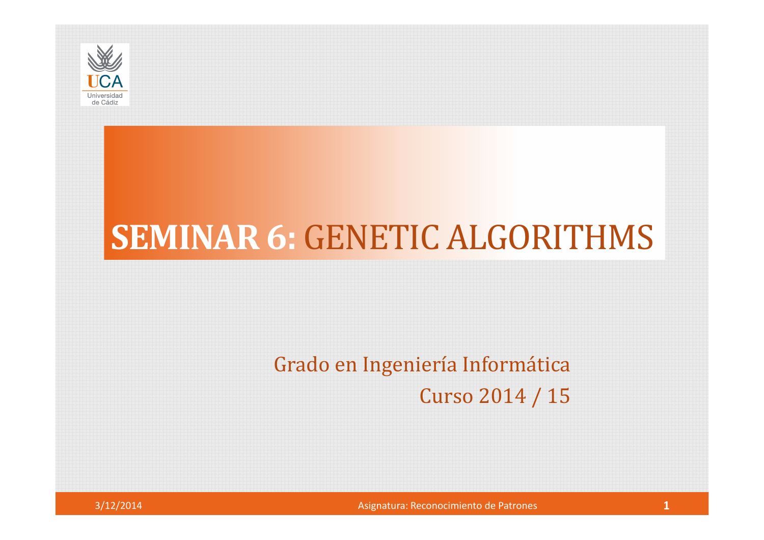

## **SEMINAR 6:** GENETIC ALGORITHMS

#### Grado en Ingeniería InformáticaCurso 2014 / 15



Asignatura: Reconocimiento de Patrones **1 1**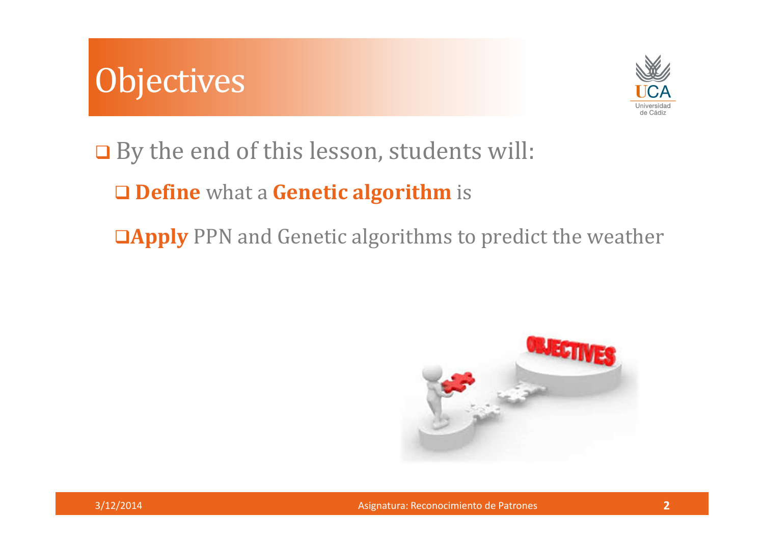



**□** By the end of this lesson, students will:

**Define** what <sup>a</sup> **Genetic algorithm** is

**Apply** PPN and Genetic algorithms to predict the weather

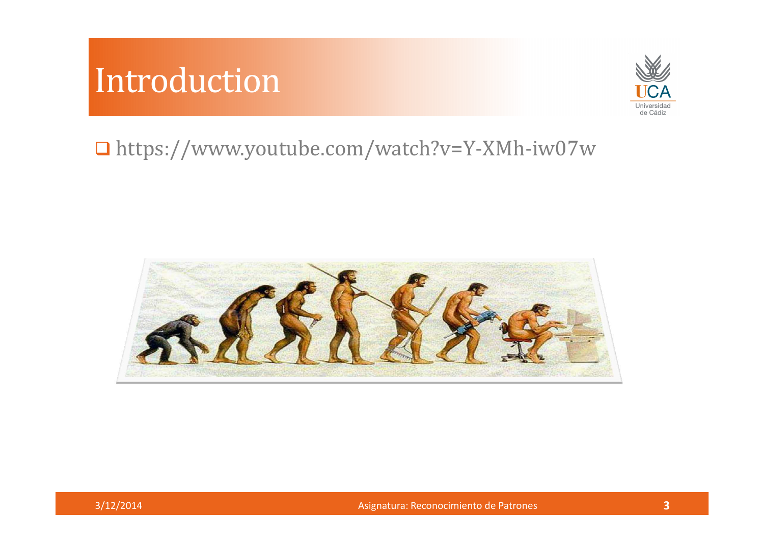#### Introduction



#### https://www.youtube.com/watch?v=Y-XMh-iw07w



Asignatura: Reconocimiento de Patrones **<sup>3</sup>**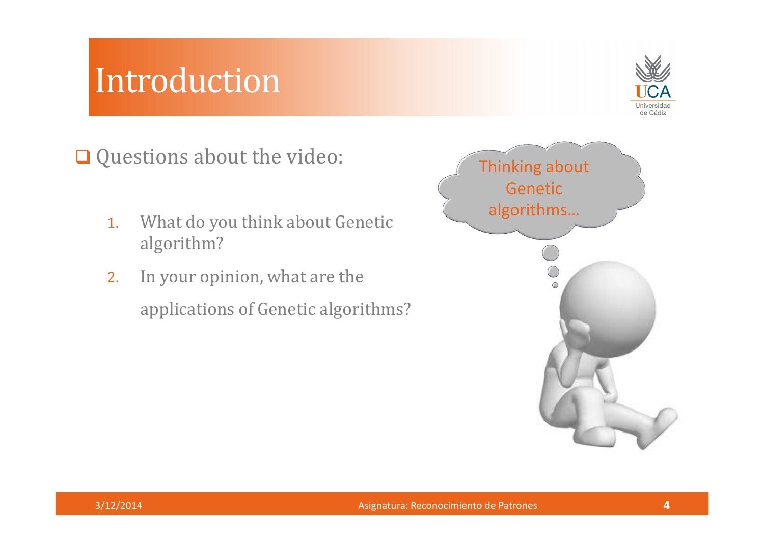#### Introduction



Questions about the video:

- 1. What do you think about Genetic algorithm?
- 2. In your opinion, what are the applications of Genetic algorithms?

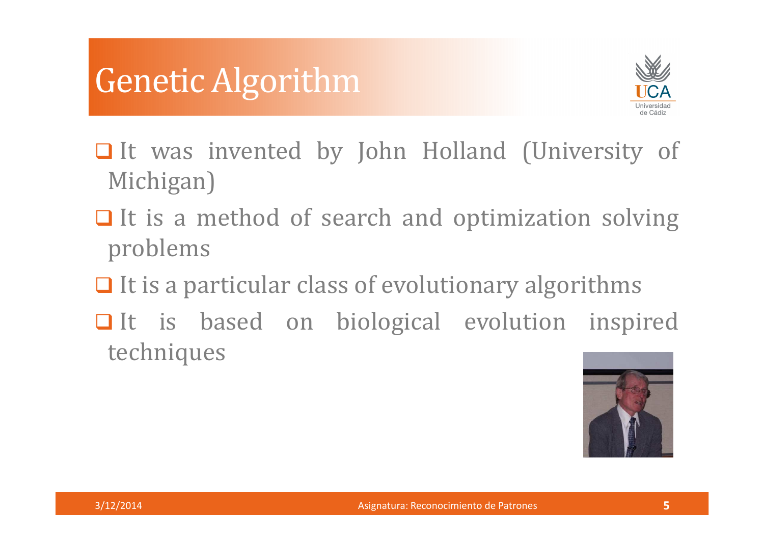#### Genetic Algorithm



- It was invented by John Holland (University of Michigan)
- $\Box$  It is a method of search and optimization solving problems
- $\Box$  It is a particular class of evolutionary algorithms
- It is based on biological evolution inspired techniques

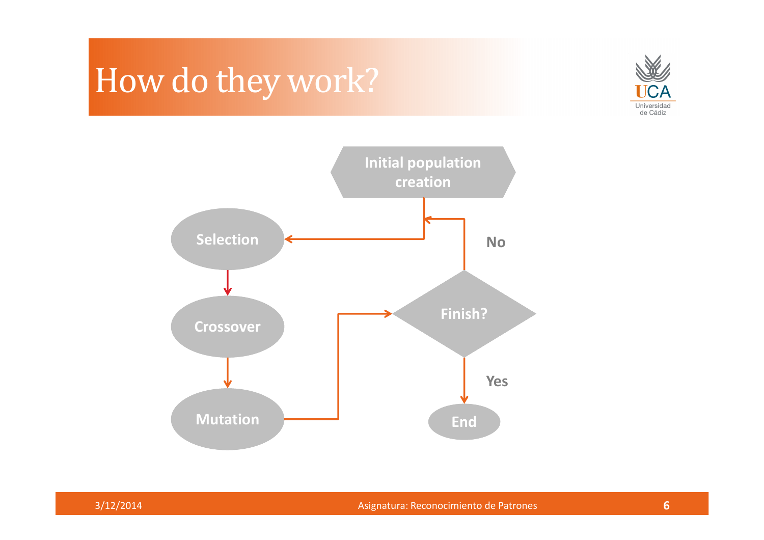### How do they work?



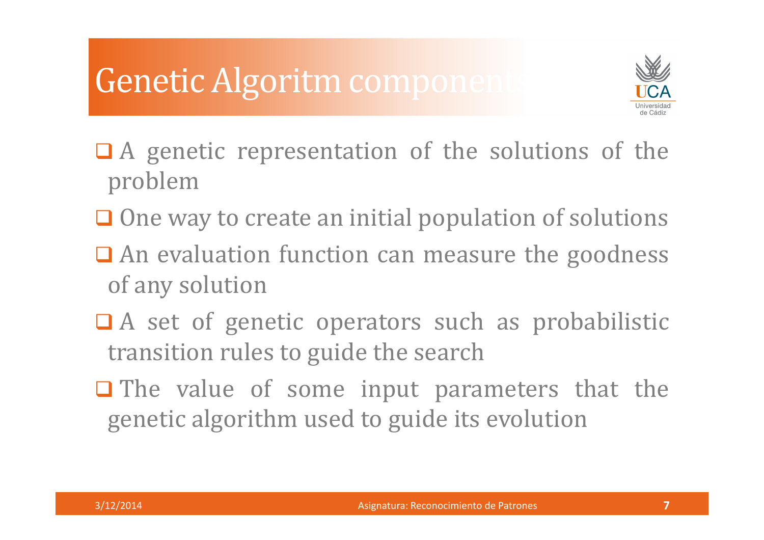# **Genetic Algoritm components**



- $\Box$  A genetic representation of the solutions of the problem
- $\Box$  One way to create an initial population of solutions
- An evaluation function can measure the goodness of any solution
- □ A set of genetic operators such as probabilistic transition rules to guide the search
- $\Box$  The value of some input parameters that the genetic algorithm used to guide its evolution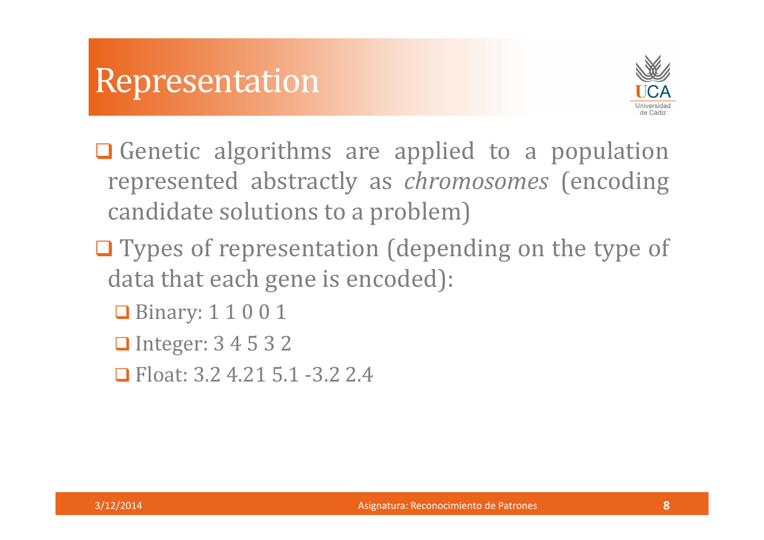

- Genetic algorithms are applied to a population represented abstractly as *chromosomes* (encoding candidate solutions to <sup>a</sup> problem)
- $\Box$  Types of representation (depending on the type of data that each gene is encoded):
	- **Binary: 1 1 0 0 1**
	- **□** Integer: 3 4 5 3 2
	- Float: 3.2 4.21 5.1 -3.2 2.4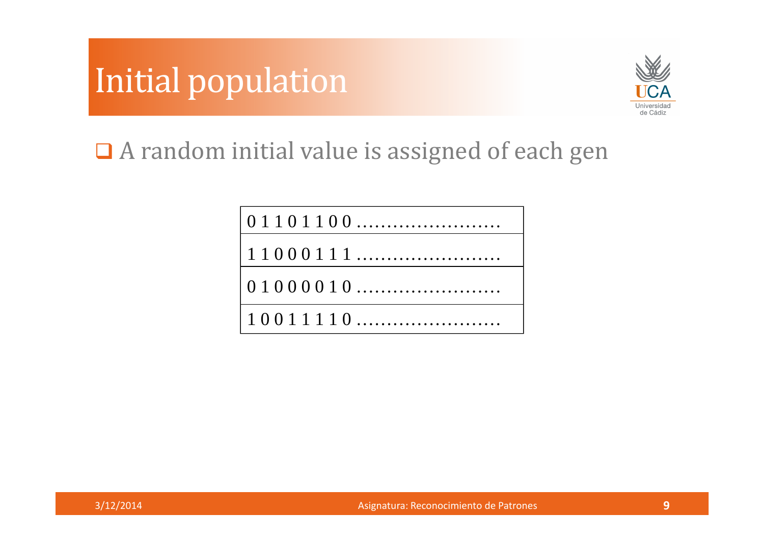



<sup>A</sup> random initial value is assigned of each gen

0 1 1 0 1 1 0 0 ……………………1 1 0 0 0 1 1 1 …………………… 0 1 0 0 0 0 1 0 ……………………1 0 0 1 1 1 1 0 ……………………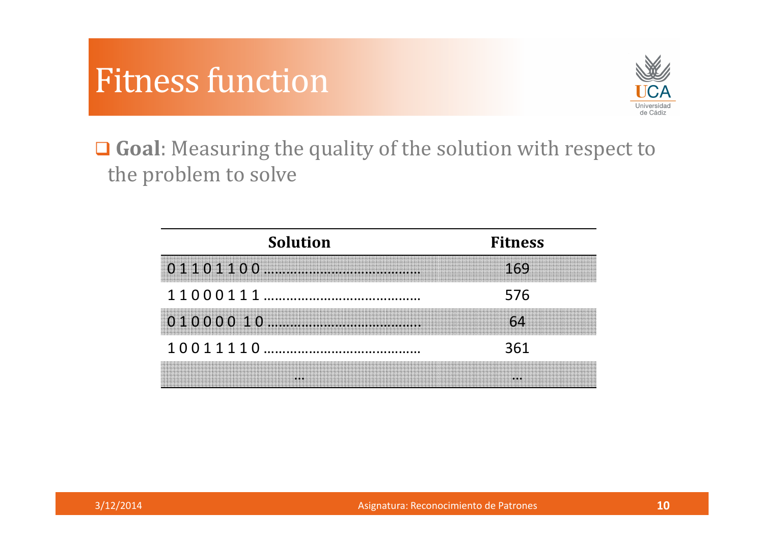



**Goal**: Measuring the quality of the solution with respect to the problem to solve

| <b>Solution</b>                                           | <b>Fitness</b> |
|-----------------------------------------------------------|----------------|
|                                                           | 169            |
|                                                           | 576            |
| <u> 1999 - Johann Barn, Amerikaansk politik (f. 1989)</u> |                |
|                                                           | 361            |
|                                                           |                |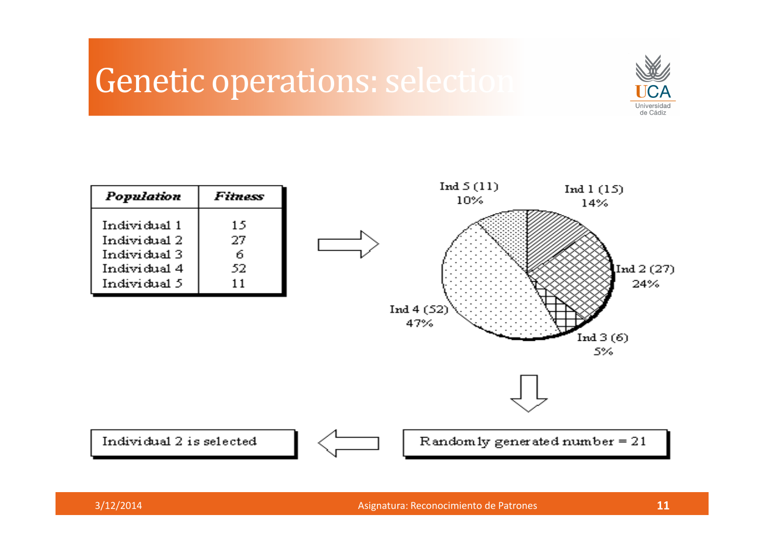#### Genetic operations: selection



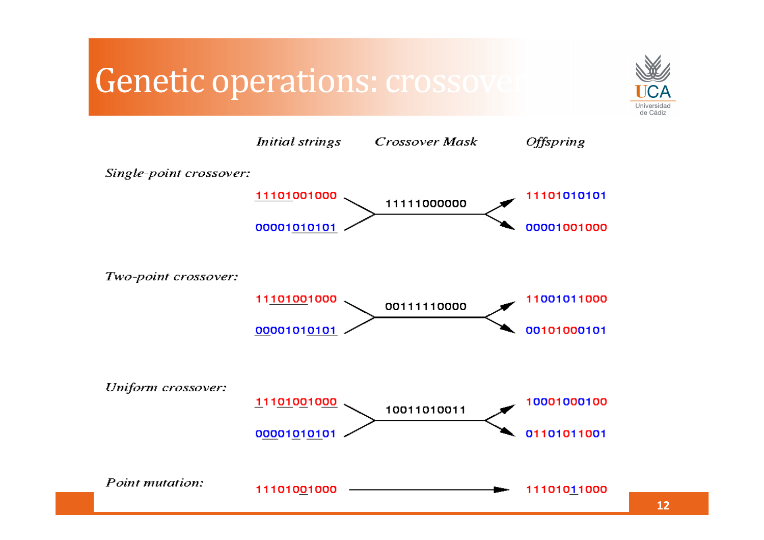#### Genetic operations: crossov



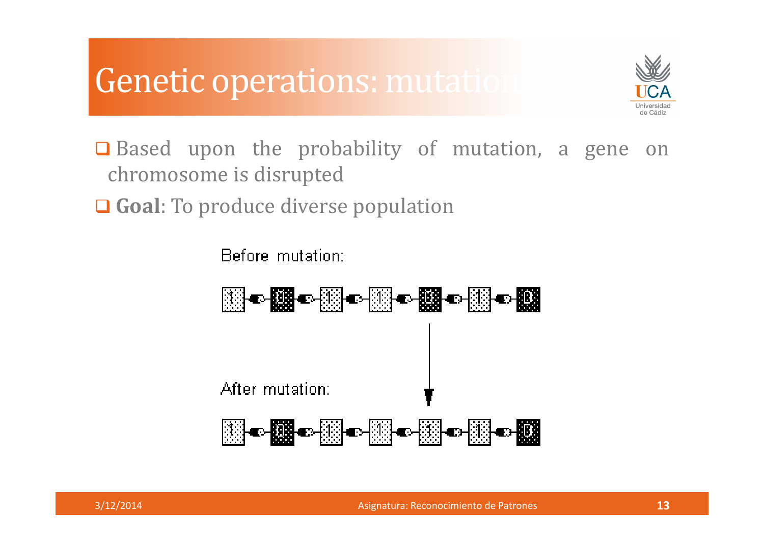#### Genetic operations: mutation



**□** Based upon the probability of mutation, a gene on chromosome is disrupted

**Goal**: To produce diverse population

**Before mutation:** 



Asignatura: Reconocimiento de Patrones **<sup>13</sup>**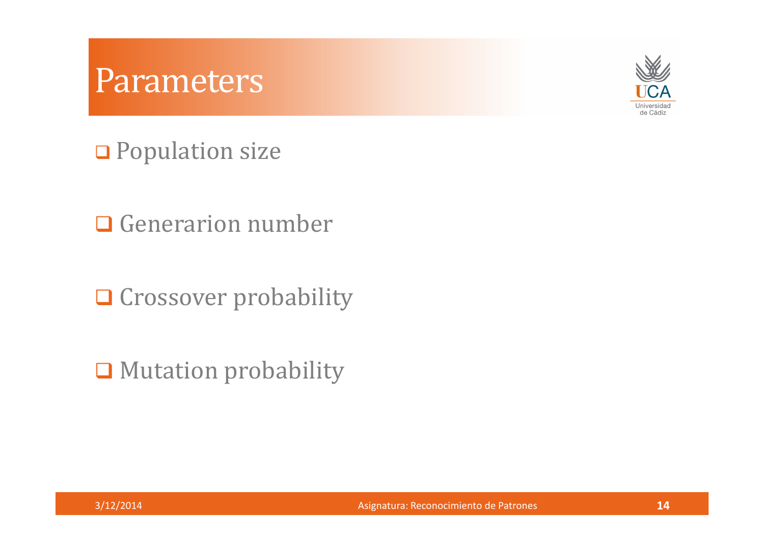#### Parameters



**□** Population size

Q Generarion number

Q Crossover probability

**□** Mutation probability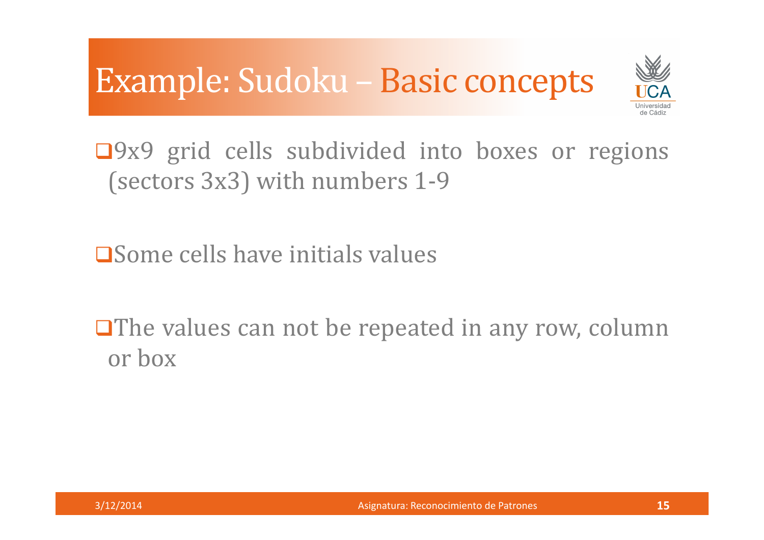## Example: Sudoku – Basic concepts



 $\Box$ 9x9 grid cells subdivided into boxes or regions (sectors 3x3) with numbers 1-9

Some cells have initials values

 $\Box$  The values can not be repeated in any row, column or box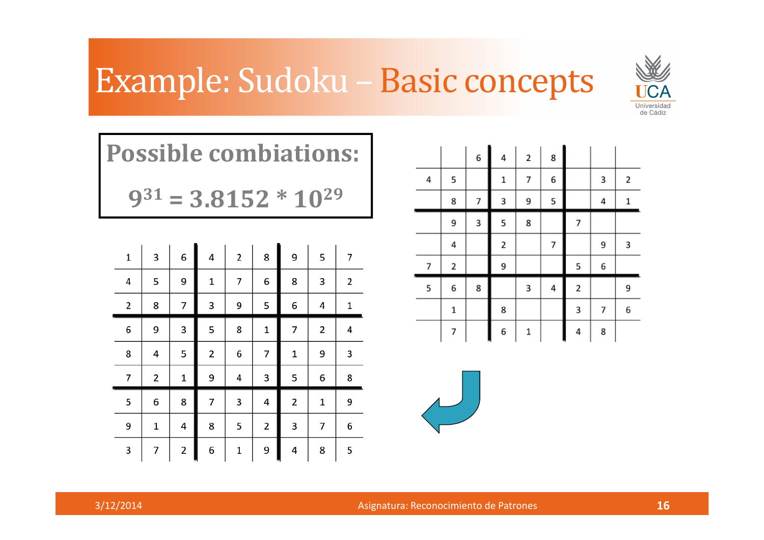### Example: Sudoku – Basic concepts



| <b>Possible combiations:</b>                                  |  |
|---------------------------------------------------------------|--|
| $\sim$ 21 $\sim$ $\sim$ $\sim$ $\sim$ $\sim$ $\sim$ $\sim$ 20 |  |

**9<sup>31</sup> = 3.8152 \* 10<sup>29</sup>**

| $\mathbf 1$ | 3 | 6 | 4 | 2 | 8 | 9                       | 5                       | 7 |
|-------------|---|---|---|---|---|-------------------------|-------------------------|---|
| 4           | 5 | 9 | 1 | 7 | 6 | 8                       | 3                       | 2 |
| 2           | 8 | 7 | 3 | 9 | 5 | 6                       | 4                       | 1 |
| 6           | 9 | 3 | 5 | 8 | 1 | 7                       | $\overline{\mathbf{c}}$ | 4 |
| 8           | 4 | 5 | 2 | 6 | 7 | 1                       | 9                       | 3 |
| 7           | 2 | 1 | 9 | 4 | 3 | 5                       | 6                       | 8 |
| 5           | 6 | 8 | 7 | 3 | 4 | $\overline{\mathbf{c}}$ | $\mathbf 1$             | 9 |
| 9           | 1 | 4 | 8 | 5 | 2 | 3                       | 7                       | 6 |
| 3           | 7 | 2 | 6 | 1 | 9 | 4                       | 8                       | 5 |

|   |             | 6 | 4            | $\mathbf 2$ | 8 |                |   |             |
|---|-------------|---|--------------|-------------|---|----------------|---|-------------|
| 4 | 5           |   | $\mathbf{1}$ | 7           | 6 |                | 3 | 2           |
|   | 8           | 7 | 3            | 9           | 5 |                | 4 | $\mathbf 1$ |
|   | 9           | 3 | 5            | 8           |   | $\overline{7}$ |   |             |
|   | 4           |   | 2            |             | 7 |                | 9 | 3           |
| 7 | 2           |   | 9            |             |   | 5              | 6 |             |
| 5 | 6           | 8 |              | 3           | 4 | $\mathbf 2$    |   | 9           |
|   | $\mathbf 1$ |   | 8            |             |   | 3              | 7 | 6           |
|   | 7           |   | 6            | 1           |   | 4              | 8 |             |

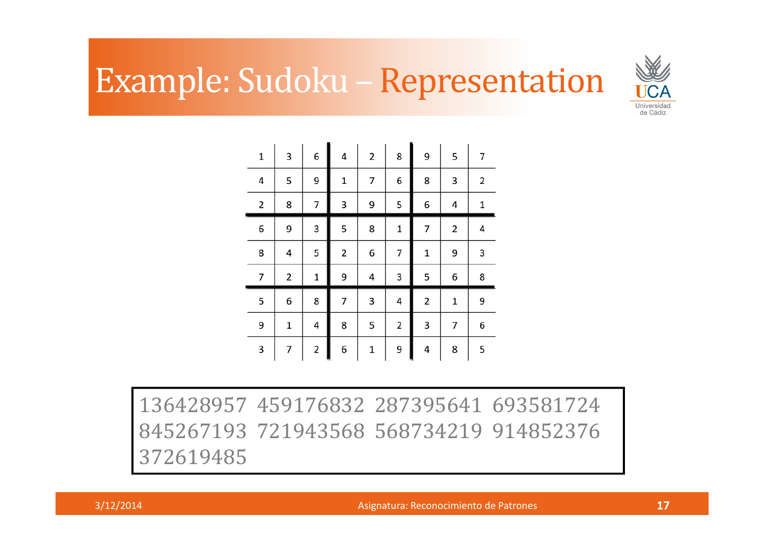## Example: Sudoku – Representation



| $\mathbf 1$ | 3 | 6                       | 4 | 2           | 8 | 9                       | 5                       | 7 |
|-------------|---|-------------------------|---|-------------|---|-------------------------|-------------------------|---|
| 4           | 5 | 9                       | 1 | 7           | 6 | 8                       | 3                       | 2 |
| 2           | 8 | 7                       | 3 | 9           | 5 | 6                       | 4                       | 1 |
| 6           | 9 | 3                       | 5 | 8           | 1 | 7                       | $\overline{\mathbf{c}}$ | 4 |
| 8           | 4 | 5                       | 2 | 6           | 7 | 1                       | 9                       | 3 |
| 7           | 2 | 1                       | 9 | 4           | 3 | 5                       | 6                       | 8 |
| 5           | 6 | 8                       | 7 | 3           | 4 | $\overline{\mathbf{c}}$ | $\mathbf 1$             | 9 |
| 9           | 1 | 4                       | 8 | 5           | 2 | 3                       | 7                       | 6 |
| 3           | 7 | $\overline{\mathbf{c}}$ | 6 | $\mathbf 1$ | 9 | 4                       | 8                       | 5 |

136428957 459176832 287395641 693581724 845267193 721943568 568734219 914852376 372619485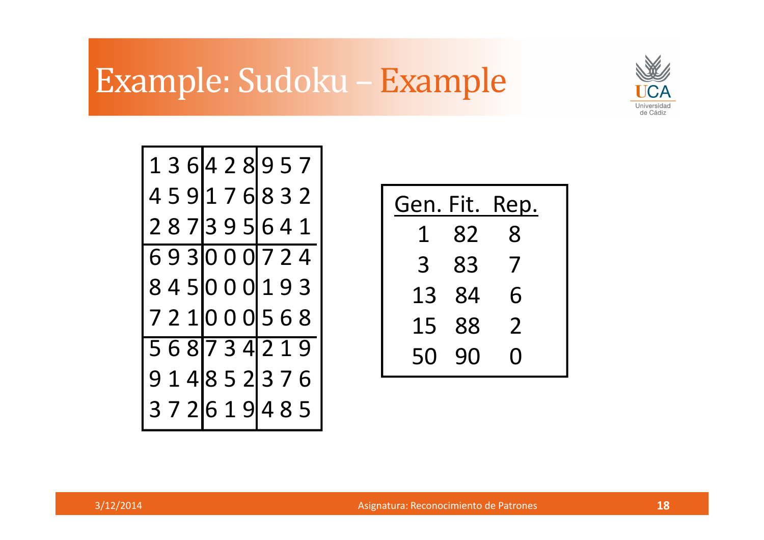### Example: Sudoku – Example



|  |  |  | 1 3 6 4 2 8 9 5 7 |   |
|--|--|--|-------------------|---|
|  |  |  | 4 5 9 1 7 6 8 3 2 |   |
|  |  |  | 287395641         |   |
|  |  |  | 693000 724        |   |
|  |  |  | 8450000193        |   |
|  |  |  | 7 2 1 0 0 0 5 6 8 |   |
|  |  |  | 568734219         |   |
|  |  |  | 9 1 4 8 5 2 3 7 6 |   |
|  |  |  | 3 7 2 6 1 9 4 8   | 5 |

Gen. Fit. Rep. 1 82 83 83 713 84 615 88 250 90 0